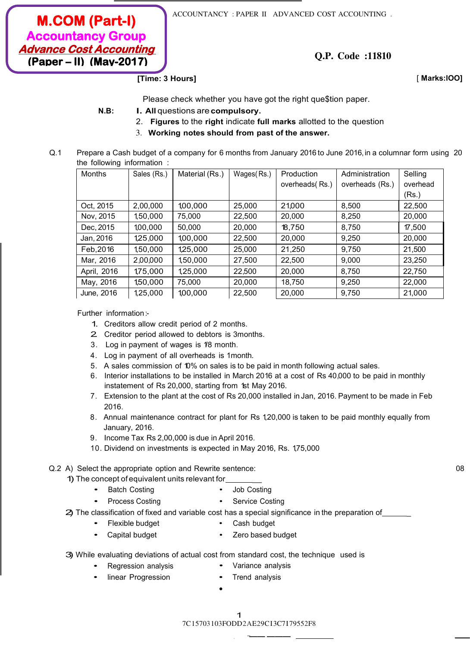**M.COM (Part-I) Accountancy Group Advance Cost Accounting (Paper – II) (May-2017)**

ACCOUNTANCY : PAPER II ADVANCED COST ACCOUNTING .

**Q.P. Code :11810**

**[Time: 3 Hours]** [ **Marks:lOO]**

Please check whether you have got the right que\$tion paper.

- **N.B: l. All** questions are **compulsory.**
	- 2. **Figures** to the **right** indicate **full marks** allotted to the question
	- 3. **Working notes should from past of the answer.**
- Q.1 Prepare a Cash budget of a company for 6 months from January 2016 to June 2016, in a columnar form using 20 the following information :

| Months      | Sales (Rs.) | Material (Rs.) | Wages(Rs.) | Production      | Administration  | Selling  |
|-------------|-------------|----------------|------------|-----------------|-----------------|----------|
|             |             |                |            | overheads (Rs.) | overheads (Rs.) | overhead |
|             |             |                |            |                 |                 | (Rs.)    |
| Oct, 2015   | 2,00,000    | 1,00,000       | 25,000     | 21,000          | 8,500           | 22,500   |
| Nov, 2015   | 1,50,000    | 75,000         | 22,500     | 20,000          | 8,250           | 20,000   |
| Dec, 2015   | 1,00,000    | 50,000         | 20,000     | 18,750          | 8,750           | 17,500   |
| Jan, 2016   | 1,25,000    | 1,00,000       | 22,500     | 20,000          | 9,250           | 20,000   |
| Feb, 2016   | 1,50,000    | 1,25,000       | 25,000     | 21,250          | 9,750           | 21,500   |
| Mar, 2016   | 2,00,000    | 1,50,000       | 27,500     | 22,500          | 9,000           | 23,250   |
| April, 2016 | 1,75,000    | 1,25,000       | 22,500     | 20,000          | 8,750           | 22,750   |
| May, 2016   | 1,50,000    | 75,000         | 20,000     | 18,750          | 9,250           | 22,000   |
| June, 2016  | 1,25,000    | 1,00,000       | 22,500     | 20,000          | 9,750           | 21,000   |

Further information:-

- 1. Creditors allow credit period of 2 months.
- 2. Creditor period allowed to debtors is 3months.
- 3. Log in payment of wages is 1/8 month.
- 4. Log in payment of all overheads is 1month.
- 5. A sales commission of 10% on sales is to be paid in month following actual sales.
- 6. Interior installations to be installed in March 2016 at a cost of Rs 40,000 to be paid in monthly instatement of Rs 20,000, starting from 1st May 2016.
- 7. Extension to the plant at the cost of Rs 20,000 installed in Jan, 2016. Payment to be made in Feb 2016.
- 8. Annual maintenance contract for plant for Rs 1,20,000 is taken to be paid monthly equally from January, 2016.
- 9. Income Tax Rs 2,00,000 is due in April 2016.
- 10. Dividend on investments is expected in May 2016, Rs. 1,75,000

### Q.2 A) Select the appropriate option and Rewrite sentence: 08

1) The concept of equivalent units relevant for \_

• Regression analysis

- Batch Costing Job Costing
	- Process Costing **•** Service Costing
- 2) The classification of fixed and variable cost has a special significance in the preparation of
	- Flexible budget Cash budget
		- Capital budget Zero based budget
- 3) While evaluating deviations of actual cost from standard cost, the technique used is

•

- Variance analysis
- linear Progression Trend analysis

1

7C 15703 103FODD 2AE29C I 3C7179552F8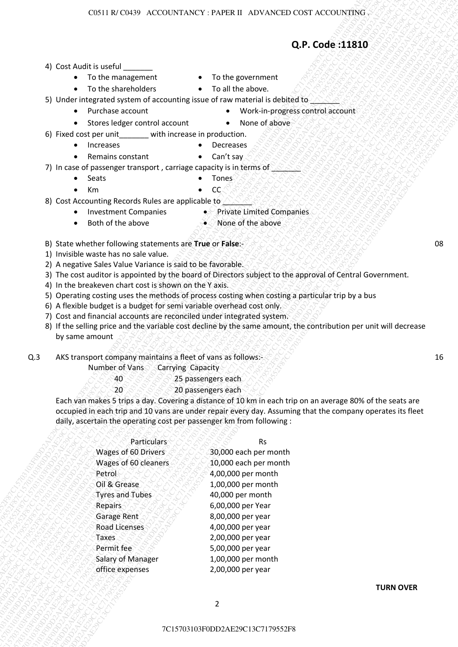## **Q.P. Code :11810**

- 4) Cost Audit is useful
	- To the management To the government
	- To the shareholders To all the above.
- -
- 5) Under integrated system of accounting issue of raw material is debited to
	- Purchase account Work-in-progress control account
	- Stores ledger control account None of above
- 
- 6) Fixed cost per unit with increase in production.
	- Increases Decreases
	- Remains constant CaŶ͛t say
- 7) In case of passenger transport, carriage capacity is in terms of  $\sim$ 
	- Seats Tones
	- Km  $\bullet$  CC.
- 8) Cost Accounting Records Rules are applicable to  $\Diamond$ 
	- Investment Companies Private Limited Companies
		- Both of the above  $\bullet$  None of the above
- 
- B) State whether following statements are **True** or **False**:- 08
- 1) Invisible waste has no sale value.
- 2) A negative Sales Value Variance is said to be favorable.
- 3) The cost auditor is appointed by the board of Directors subject to the approval of Central Government.
- 4) In the breakeven chart cost is shown on the Y axis.
- 5) Operating costing uses the methods of process costing when costing a particular trip by a bus
- 6) A flexible budget is a budget for semi variable overhead cost only.
- 7) Cost and financial accounts are reconciled under integrated system.
- 8) If the selling price and the variable cost decline by the same amount, the contribution per unit will decrease by same amount
- Q.3 AKS transport company maintains a fleet of vans as follows:-

- 40 25 passengers each
- 20 **20 20** passengers each

|     |                                                                                                      | Q.P. Code:11810                                                                                                                                                                     |    |
|-----|------------------------------------------------------------------------------------------------------|-------------------------------------------------------------------------------------------------------------------------------------------------------------------------------------|----|
|     | 4) Cost Audit is useful                                                                              |                                                                                                                                                                                     |    |
|     | • To the management                                                                                  | • To the government                                                                                                                                                                 |    |
|     | • To the shareholders                                                                                | • To all the above.                                                                                                                                                                 |    |
|     |                                                                                                      | 5) Under integrated system of accounting issue of raw material is debited to ANA                                                                                                    |    |
|     | Purchase account                                                                                     | • Work-in-progress control account                                                                                                                                                  |    |
|     | • Stores ledger control account<br>6) Fixed cost per unit with increase in production.               | • None of above                                                                                                                                                                     |    |
|     | Increases                                                                                            | • Decreases                                                                                                                                                                         |    |
|     | Remains constant                                                                                     | $\bullet$ Can't say                                                                                                                                                                 |    |
|     | 7) In case of passenger transport, carriage capacity is in terms of 8888                             |                                                                                                                                                                                     |    |
|     | • Seats                                                                                              | $\bullet$ Tones                                                                                                                                                                     |    |
|     | Km                                                                                                   | <sub>CC</sub>                                                                                                                                                                       |    |
|     | 8) Cost Accounting Records Rules are applicable to ANS<br>• Investment Companies                     | • Private Limited Companies                                                                                                                                                         |    |
|     | Both of the above<br>$\bullet$                                                                       | • None of the above                                                                                                                                                                 |    |
|     |                                                                                                      |                                                                                                                                                                                     |    |
|     | B) State whether following statements are True or False:                                             |                                                                                                                                                                                     | 08 |
|     | 1) Invisible waste has no sale value.<br>2) A negative Sales Value Variance is said to be favorable. |                                                                                                                                                                                     |    |
|     |                                                                                                      | 3) The cost auditor is appointed by the board of Directors subject to the approval of Central Government.                                                                           |    |
|     | 4) In the breakeven chart cost is shown on the Y axis.                                               |                                                                                                                                                                                     |    |
|     | 6) A flexible budget is a budget for semi variable overhead cost only.                               | 5) Operating costing uses the methods of process costing when costing a particular trip by a bus                                                                                    |    |
|     | 7) Cost and financial accounts are reconciled under integrated system.                               |                                                                                                                                                                                     |    |
|     |                                                                                                      | 8) If the selling price and the variable cost decline by the same amount, the contribution per unit will decrease                                                                   |    |
|     | by same amount                                                                                       |                                                                                                                                                                                     |    |
| Q.3 | AKS transport company maintains a fleet of vans as follows:-                                         |                                                                                                                                                                                     | 16 |
|     | Number of Vans                                                                                       | Carrying Capacity                                                                                                                                                                   |    |
|     | $40^{\circ}$                                                                                         | 25 passengers each                                                                                                                                                                  |    |
|     | 20                                                                                                   | 20 passengers each<br>Each van makes 5 trips a day. Covering a distance of 10 km in each trip on an average 80% of the seats are                                                    |    |
|     |                                                                                                      | occupied in each trip and 10 vans are under repair every day. Assuming that the company operates its fleet<br>daily, ascertain the operating cost per passenger km from following : |    |
|     |                                                                                                      |                                                                                                                                                                                     |    |
|     | Particulars                                                                                          | <b>Rs</b>                                                                                                                                                                           |    |
|     | Wages of 60 Drivers                                                                                  | 30,000 each per month                                                                                                                                                               |    |
|     | Wages of 60 cleaners                                                                                 | 10,000 each per month                                                                                                                                                               |    |
|     | Petrol                                                                                               | 4,00,000 per month                                                                                                                                                                  |    |
|     | Oil & Grease<br><b>Tyres and Tubes</b>                                                               | 1,00,000 per month<br>40,000 per month                                                                                                                                              |    |
|     | Repairs                                                                                              | 6,00,000 per Year                                                                                                                                                                   |    |
|     | Garage Rent                                                                                          | 8,00,000 per year                                                                                                                                                                   |    |
|     | <b>Road Licenses</b>                                                                                 | 4,00,000 per year                                                                                                                                                                   |    |
|     | Taxes                                                                                                | 2,00,000 per year                                                                                                                                                                   |    |
|     | Permit fee                                                                                           | 5,00,000 per year                                                                                                                                                                   |    |
|     | Salary of Manager<br>office expenses                                                                 | 1,00,000 per month<br>2,00,000 per year                                                                                                                                             |    |
|     |                                                                                                      |                                                                                                                                                                                     |    |
|     |                                                                                                      | <b>TURN OVER</b><br>$\overline{2}$                                                                                                                                                  |    |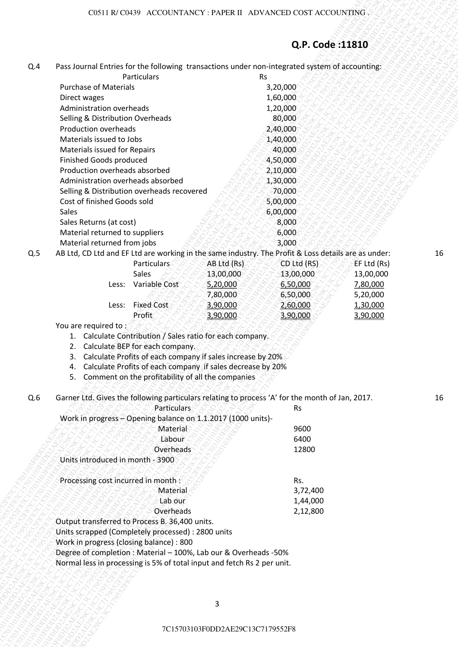# **Q.P. Code :11810**

| Q.4 | Pass Journal Entries for the following transactions under non-integrated system of accounting: |             |
|-----|------------------------------------------------------------------------------------------------|-------------|
|     | <b>Particulars</b>                                                                             | やっかんかんこうしょう |

| Q.4<br>Pass Journal Entries for the following transactions under non-integrated system of accounting:<br>Particulars<br><b>Rs</b><br><b>Purchase of Materials</b><br>3,20,000<br>Direct wages<br>1,60,000<br>Administration overheads<br>1,20,000<br>80,000<br>Selling & Distribution Overheads<br>Production overheads<br>2,40,000<br>Materials issued to Jobs<br>1,40,000<br>Materials issued for Repairs<br>40,000<br>Finished Goods produced<br>4,50,000<br>Production overheads absorbed<br>2,10,000<br>Administration overheads absorbed<br>1,30,000<br>Selling & Distribution overheads recovered<br>70,000<br>Cost of finished Goods sold<br>5,00,000<br>Sales<br>6,00,000<br>Sales Returns (at cost)<br>8,000<br>Material returned to suppliers<br>6,000<br>Material returned from jobs<br>3,000<br>AB Ltd, CD Ltd and EF Ltd are working in the same industry. The Profit & Loss details are as under:<br>Q.5<br>Particulars<br>CD Ltd (RS)<br>AB Ltd (Rs)<br>EF Ltd (Rs)<br>Sales<br>13,00,000<br>13,00,000<br>13,00,000<br>Variable Cost<br>5,20,000<br>6,50,000<br>7,80,000<br>Less:<br>7,80,000<br>5,20,000<br>6,50,000<br>Less: Fixed Cost<br>3,90,000<br>2,60,000<br>1,30,000<br>Profit<br>3,90,000<br>3,90,000<br>3,90,000<br>You are required to:<br>1. Calculate Contribution / Sales ratio for each company.<br>2. Calculate BEP for each company.<br>Calculate Profits of each company if sales increase by 20%<br>3.<br>4. Calculate Profits of each company if sales decrease by 20%<br>5. Comment on the profitability of all the companies<br>Garner Ltd. Gives the following particulars relating to process 'A' for the month of Jan, 2017.<br>Q.6<br><b>Particulars</b><br><b>Rs</b><br>Work in progress - Opening balance on 1.1.2017 (1000 units)-<br>Material<br>9600<br>Labour<br>6400<br><b>Overheads</b><br>12800<br>Units introduced in month - 3900<br>Processing cost incurred in month :<br>Rs.<br>Material<br>3,72,400<br>Lab our<br>1,44,000<br>Overheads<br>2,12,800<br>Output transferred to Process B. 36,400 units.<br>Units scrapped (Completely processed) : 2800 units<br>Work in progress (closing balance) : 800<br>Degree of completion : Material - 100%, Lab our & Overheads -50%<br>Normal less in processing is 5% of total input and fetch Rs 2 per unit.<br>3<br>7C15703103F0DD2AE29C13C7179552F8 |  | Q.P. Code:11810 |  |
|-----------------------------------------------------------------------------------------------------------------------------------------------------------------------------------------------------------------------------------------------------------------------------------------------------------------------------------------------------------------------------------------------------------------------------------------------------------------------------------------------------------------------------------------------------------------------------------------------------------------------------------------------------------------------------------------------------------------------------------------------------------------------------------------------------------------------------------------------------------------------------------------------------------------------------------------------------------------------------------------------------------------------------------------------------------------------------------------------------------------------------------------------------------------------------------------------------------------------------------------------------------------------------------------------------------------------------------------------------------------------------------------------------------------------------------------------------------------------------------------------------------------------------------------------------------------------------------------------------------------------------------------------------------------------------------------------------------------------------------------------------------------------------------------------------------------------------------------------------------------------------------------------------------------------------------------------------------------------------------------------------------------------------------------------------------------------------------------------------------------------------------------------------------------------------------------------------------------------------------------------------------------------------------------------------------------------------------------------------------|--|-----------------|--|
|                                                                                                                                                                                                                                                                                                                                                                                                                                                                                                                                                                                                                                                                                                                                                                                                                                                                                                                                                                                                                                                                                                                                                                                                                                                                                                                                                                                                                                                                                                                                                                                                                                                                                                                                                                                                                                                                                                                                                                                                                                                                                                                                                                                                                                                                                                                                                           |  |                 |  |
| 16<br>16                                                                                                                                                                                                                                                                                                                                                                                                                                                                                                                                                                                                                                                                                                                                                                                                                                                                                                                                                                                                                                                                                                                                                                                                                                                                                                                                                                                                                                                                                                                                                                                                                                                                                                                                                                                                                                                                                                                                                                                                                                                                                                                                                                                                                                                                                                                                                  |  |                 |  |
|                                                                                                                                                                                                                                                                                                                                                                                                                                                                                                                                                                                                                                                                                                                                                                                                                                                                                                                                                                                                                                                                                                                                                                                                                                                                                                                                                                                                                                                                                                                                                                                                                                                                                                                                                                                                                                                                                                                                                                                                                                                                                                                                                                                                                                                                                                                                                           |  |                 |  |
|                                                                                                                                                                                                                                                                                                                                                                                                                                                                                                                                                                                                                                                                                                                                                                                                                                                                                                                                                                                                                                                                                                                                                                                                                                                                                                                                                                                                                                                                                                                                                                                                                                                                                                                                                                                                                                                                                                                                                                                                                                                                                                                                                                                                                                                                                                                                                           |  |                 |  |
|                                                                                                                                                                                                                                                                                                                                                                                                                                                                                                                                                                                                                                                                                                                                                                                                                                                                                                                                                                                                                                                                                                                                                                                                                                                                                                                                                                                                                                                                                                                                                                                                                                                                                                                                                                                                                                                                                                                                                                                                                                                                                                                                                                                                                                                                                                                                                           |  |                 |  |
|                                                                                                                                                                                                                                                                                                                                                                                                                                                                                                                                                                                                                                                                                                                                                                                                                                                                                                                                                                                                                                                                                                                                                                                                                                                                                                                                                                                                                                                                                                                                                                                                                                                                                                                                                                                                                                                                                                                                                                                                                                                                                                                                                                                                                                                                                                                                                           |  |                 |  |
|                                                                                                                                                                                                                                                                                                                                                                                                                                                                                                                                                                                                                                                                                                                                                                                                                                                                                                                                                                                                                                                                                                                                                                                                                                                                                                                                                                                                                                                                                                                                                                                                                                                                                                                                                                                                                                                                                                                                                                                                                                                                                                                                                                                                                                                                                                                                                           |  |                 |  |
|                                                                                                                                                                                                                                                                                                                                                                                                                                                                                                                                                                                                                                                                                                                                                                                                                                                                                                                                                                                                                                                                                                                                                                                                                                                                                                                                                                                                                                                                                                                                                                                                                                                                                                                                                                                                                                                                                                                                                                                                                                                                                                                                                                                                                                                                                                                                                           |  |                 |  |
|                                                                                                                                                                                                                                                                                                                                                                                                                                                                                                                                                                                                                                                                                                                                                                                                                                                                                                                                                                                                                                                                                                                                                                                                                                                                                                                                                                                                                                                                                                                                                                                                                                                                                                                                                                                                                                                                                                                                                                                                                                                                                                                                                                                                                                                                                                                                                           |  |                 |  |
|                                                                                                                                                                                                                                                                                                                                                                                                                                                                                                                                                                                                                                                                                                                                                                                                                                                                                                                                                                                                                                                                                                                                                                                                                                                                                                                                                                                                                                                                                                                                                                                                                                                                                                                                                                                                                                                                                                                                                                                                                                                                                                                                                                                                                                                                                                                                                           |  |                 |  |
|                                                                                                                                                                                                                                                                                                                                                                                                                                                                                                                                                                                                                                                                                                                                                                                                                                                                                                                                                                                                                                                                                                                                                                                                                                                                                                                                                                                                                                                                                                                                                                                                                                                                                                                                                                                                                                                                                                                                                                                                                                                                                                                                                                                                                                                                                                                                                           |  |                 |  |
|                                                                                                                                                                                                                                                                                                                                                                                                                                                                                                                                                                                                                                                                                                                                                                                                                                                                                                                                                                                                                                                                                                                                                                                                                                                                                                                                                                                                                                                                                                                                                                                                                                                                                                                                                                                                                                                                                                                                                                                                                                                                                                                                                                                                                                                                                                                                                           |  |                 |  |
|                                                                                                                                                                                                                                                                                                                                                                                                                                                                                                                                                                                                                                                                                                                                                                                                                                                                                                                                                                                                                                                                                                                                                                                                                                                                                                                                                                                                                                                                                                                                                                                                                                                                                                                                                                                                                                                                                                                                                                                                                                                                                                                                                                                                                                                                                                                                                           |  |                 |  |
|                                                                                                                                                                                                                                                                                                                                                                                                                                                                                                                                                                                                                                                                                                                                                                                                                                                                                                                                                                                                                                                                                                                                                                                                                                                                                                                                                                                                                                                                                                                                                                                                                                                                                                                                                                                                                                                                                                                                                                                                                                                                                                                                                                                                                                                                                                                                                           |  |                 |  |
|                                                                                                                                                                                                                                                                                                                                                                                                                                                                                                                                                                                                                                                                                                                                                                                                                                                                                                                                                                                                                                                                                                                                                                                                                                                                                                                                                                                                                                                                                                                                                                                                                                                                                                                                                                                                                                                                                                                                                                                                                                                                                                                                                                                                                                                                                                                                                           |  |                 |  |
|                                                                                                                                                                                                                                                                                                                                                                                                                                                                                                                                                                                                                                                                                                                                                                                                                                                                                                                                                                                                                                                                                                                                                                                                                                                                                                                                                                                                                                                                                                                                                                                                                                                                                                                                                                                                                                                                                                                                                                                                                                                                                                                                                                                                                                                                                                                                                           |  |                 |  |
|                                                                                                                                                                                                                                                                                                                                                                                                                                                                                                                                                                                                                                                                                                                                                                                                                                                                                                                                                                                                                                                                                                                                                                                                                                                                                                                                                                                                                                                                                                                                                                                                                                                                                                                                                                                                                                                                                                                                                                                                                                                                                                                                                                                                                                                                                                                                                           |  |                 |  |
|                                                                                                                                                                                                                                                                                                                                                                                                                                                                                                                                                                                                                                                                                                                                                                                                                                                                                                                                                                                                                                                                                                                                                                                                                                                                                                                                                                                                                                                                                                                                                                                                                                                                                                                                                                                                                                                                                                                                                                                                                                                                                                                                                                                                                                                                                                                                                           |  |                 |  |
|                                                                                                                                                                                                                                                                                                                                                                                                                                                                                                                                                                                                                                                                                                                                                                                                                                                                                                                                                                                                                                                                                                                                                                                                                                                                                                                                                                                                                                                                                                                                                                                                                                                                                                                                                                                                                                                                                                                                                                                                                                                                                                                                                                                                                                                                                                                                                           |  |                 |  |
|                                                                                                                                                                                                                                                                                                                                                                                                                                                                                                                                                                                                                                                                                                                                                                                                                                                                                                                                                                                                                                                                                                                                                                                                                                                                                                                                                                                                                                                                                                                                                                                                                                                                                                                                                                                                                                                                                                                                                                                                                                                                                                                                                                                                                                                                                                                                                           |  |                 |  |
|                                                                                                                                                                                                                                                                                                                                                                                                                                                                                                                                                                                                                                                                                                                                                                                                                                                                                                                                                                                                                                                                                                                                                                                                                                                                                                                                                                                                                                                                                                                                                                                                                                                                                                                                                                                                                                                                                                                                                                                                                                                                                                                                                                                                                                                                                                                                                           |  |                 |  |
|                                                                                                                                                                                                                                                                                                                                                                                                                                                                                                                                                                                                                                                                                                                                                                                                                                                                                                                                                                                                                                                                                                                                                                                                                                                                                                                                                                                                                                                                                                                                                                                                                                                                                                                                                                                                                                                                                                                                                                                                                                                                                                                                                                                                                                                                                                                                                           |  |                 |  |
|                                                                                                                                                                                                                                                                                                                                                                                                                                                                                                                                                                                                                                                                                                                                                                                                                                                                                                                                                                                                                                                                                                                                                                                                                                                                                                                                                                                                                                                                                                                                                                                                                                                                                                                                                                                                                                                                                                                                                                                                                                                                                                                                                                                                                                                                                                                                                           |  |                 |  |
|                                                                                                                                                                                                                                                                                                                                                                                                                                                                                                                                                                                                                                                                                                                                                                                                                                                                                                                                                                                                                                                                                                                                                                                                                                                                                                                                                                                                                                                                                                                                                                                                                                                                                                                                                                                                                                                                                                                                                                                                                                                                                                                                                                                                                                                                                                                                                           |  |                 |  |
|                                                                                                                                                                                                                                                                                                                                                                                                                                                                                                                                                                                                                                                                                                                                                                                                                                                                                                                                                                                                                                                                                                                                                                                                                                                                                                                                                                                                                                                                                                                                                                                                                                                                                                                                                                                                                                                                                                                                                                                                                                                                                                                                                                                                                                                                                                                                                           |  |                 |  |
|                                                                                                                                                                                                                                                                                                                                                                                                                                                                                                                                                                                                                                                                                                                                                                                                                                                                                                                                                                                                                                                                                                                                                                                                                                                                                                                                                                                                                                                                                                                                                                                                                                                                                                                                                                                                                                                                                                                                                                                                                                                                                                                                                                                                                                                                                                                                                           |  |                 |  |
|                                                                                                                                                                                                                                                                                                                                                                                                                                                                                                                                                                                                                                                                                                                                                                                                                                                                                                                                                                                                                                                                                                                                                                                                                                                                                                                                                                                                                                                                                                                                                                                                                                                                                                                                                                                                                                                                                                                                                                                                                                                                                                                                                                                                                                                                                                                                                           |  |                 |  |
|                                                                                                                                                                                                                                                                                                                                                                                                                                                                                                                                                                                                                                                                                                                                                                                                                                                                                                                                                                                                                                                                                                                                                                                                                                                                                                                                                                                                                                                                                                                                                                                                                                                                                                                                                                                                                                                                                                                                                                                                                                                                                                                                                                                                                                                                                                                                                           |  |                 |  |
|                                                                                                                                                                                                                                                                                                                                                                                                                                                                                                                                                                                                                                                                                                                                                                                                                                                                                                                                                                                                                                                                                                                                                                                                                                                                                                                                                                                                                                                                                                                                                                                                                                                                                                                                                                                                                                                                                                                                                                                                                                                                                                                                                                                                                                                                                                                                                           |  |                 |  |
|                                                                                                                                                                                                                                                                                                                                                                                                                                                                                                                                                                                                                                                                                                                                                                                                                                                                                                                                                                                                                                                                                                                                                                                                                                                                                                                                                                                                                                                                                                                                                                                                                                                                                                                                                                                                                                                                                                                                                                                                                                                                                                                                                                                                                                                                                                                                                           |  |                 |  |
|                                                                                                                                                                                                                                                                                                                                                                                                                                                                                                                                                                                                                                                                                                                                                                                                                                                                                                                                                                                                                                                                                                                                                                                                                                                                                                                                                                                                                                                                                                                                                                                                                                                                                                                                                                                                                                                                                                                                                                                                                                                                                                                                                                                                                                                                                                                                                           |  |                 |  |
|                                                                                                                                                                                                                                                                                                                                                                                                                                                                                                                                                                                                                                                                                                                                                                                                                                                                                                                                                                                                                                                                                                                                                                                                                                                                                                                                                                                                                                                                                                                                                                                                                                                                                                                                                                                                                                                                                                                                                                                                                                                                                                                                                                                                                                                                                                                                                           |  |                 |  |
|                                                                                                                                                                                                                                                                                                                                                                                                                                                                                                                                                                                                                                                                                                                                                                                                                                                                                                                                                                                                                                                                                                                                                                                                                                                                                                                                                                                                                                                                                                                                                                                                                                                                                                                                                                                                                                                                                                                                                                                                                                                                                                                                                                                                                                                                                                                                                           |  |                 |  |
|                                                                                                                                                                                                                                                                                                                                                                                                                                                                                                                                                                                                                                                                                                                                                                                                                                                                                                                                                                                                                                                                                                                                                                                                                                                                                                                                                                                                                                                                                                                                                                                                                                                                                                                                                                                                                                                                                                                                                                                                                                                                                                                                                                                                                                                                                                                                                           |  |                 |  |
|                                                                                                                                                                                                                                                                                                                                                                                                                                                                                                                                                                                                                                                                                                                                                                                                                                                                                                                                                                                                                                                                                                                                                                                                                                                                                                                                                                                                                                                                                                                                                                                                                                                                                                                                                                                                                                                                                                                                                                                                                                                                                                                                                                                                                                                                                                                                                           |  |                 |  |
|                                                                                                                                                                                                                                                                                                                                                                                                                                                                                                                                                                                                                                                                                                                                                                                                                                                                                                                                                                                                                                                                                                                                                                                                                                                                                                                                                                                                                                                                                                                                                                                                                                                                                                                                                                                                                                                                                                                                                                                                                                                                                                                                                                                                                                                                                                                                                           |  |                 |  |
|                                                                                                                                                                                                                                                                                                                                                                                                                                                                                                                                                                                                                                                                                                                                                                                                                                                                                                                                                                                                                                                                                                                                                                                                                                                                                                                                                                                                                                                                                                                                                                                                                                                                                                                                                                                                                                                                                                                                                                                                                                                                                                                                                                                                                                                                                                                                                           |  |                 |  |
|                                                                                                                                                                                                                                                                                                                                                                                                                                                                                                                                                                                                                                                                                                                                                                                                                                                                                                                                                                                                                                                                                                                                                                                                                                                                                                                                                                                                                                                                                                                                                                                                                                                                                                                                                                                                                                                                                                                                                                                                                                                                                                                                                                                                                                                                                                                                                           |  |                 |  |
|                                                                                                                                                                                                                                                                                                                                                                                                                                                                                                                                                                                                                                                                                                                                                                                                                                                                                                                                                                                                                                                                                                                                                                                                                                                                                                                                                                                                                                                                                                                                                                                                                                                                                                                                                                                                                                                                                                                                                                                                                                                                                                                                                                                                                                                                                                                                                           |  |                 |  |
|                                                                                                                                                                                                                                                                                                                                                                                                                                                                                                                                                                                                                                                                                                                                                                                                                                                                                                                                                                                                                                                                                                                                                                                                                                                                                                                                                                                                                                                                                                                                                                                                                                                                                                                                                                                                                                                                                                                                                                                                                                                                                                                                                                                                                                                                                                                                                           |  |                 |  |
|                                                                                                                                                                                                                                                                                                                                                                                                                                                                                                                                                                                                                                                                                                                                                                                                                                                                                                                                                                                                                                                                                                                                                                                                                                                                                                                                                                                                                                                                                                                                                                                                                                                                                                                                                                                                                                                                                                                                                                                                                                                                                                                                                                                                                                                                                                                                                           |  |                 |  |
|                                                                                                                                                                                                                                                                                                                                                                                                                                                                                                                                                                                                                                                                                                                                                                                                                                                                                                                                                                                                                                                                                                                                                                                                                                                                                                                                                                                                                                                                                                                                                                                                                                                                                                                                                                                                                                                                                                                                                                                                                                                                                                                                                                                                                                                                                                                                                           |  |                 |  |
|                                                                                                                                                                                                                                                                                                                                                                                                                                                                                                                                                                                                                                                                                                                                                                                                                                                                                                                                                                                                                                                                                                                                                                                                                                                                                                                                                                                                                                                                                                                                                                                                                                                                                                                                                                                                                                                                                                                                                                                                                                                                                                                                                                                                                                                                                                                                                           |  |                 |  |
|                                                                                                                                                                                                                                                                                                                                                                                                                                                                                                                                                                                                                                                                                                                                                                                                                                                                                                                                                                                                                                                                                                                                                                                                                                                                                                                                                                                                                                                                                                                                                                                                                                                                                                                                                                                                                                                                                                                                                                                                                                                                                                                                                                                                                                                                                                                                                           |  |                 |  |
|                                                                                                                                                                                                                                                                                                                                                                                                                                                                                                                                                                                                                                                                                                                                                                                                                                                                                                                                                                                                                                                                                                                                                                                                                                                                                                                                                                                                                                                                                                                                                                                                                                                                                                                                                                                                                                                                                                                                                                                                                                                                                                                                                                                                                                                                                                                                                           |  |                 |  |
|                                                                                                                                                                                                                                                                                                                                                                                                                                                                                                                                                                                                                                                                                                                                                                                                                                                                                                                                                                                                                                                                                                                                                                                                                                                                                                                                                                                                                                                                                                                                                                                                                                                                                                                                                                                                                                                                                                                                                                                                                                                                                                                                                                                                                                                                                                                                                           |  |                 |  |
|                                                                                                                                                                                                                                                                                                                                                                                                                                                                                                                                                                                                                                                                                                                                                                                                                                                                                                                                                                                                                                                                                                                                                                                                                                                                                                                                                                                                                                                                                                                                                                                                                                                                                                                                                                                                                                                                                                                                                                                                                                                                                                                                                                                                                                                                                                                                                           |  |                 |  |
|                                                                                                                                                                                                                                                                                                                                                                                                                                                                                                                                                                                                                                                                                                                                                                                                                                                                                                                                                                                                                                                                                                                                                                                                                                                                                                                                                                                                                                                                                                                                                                                                                                                                                                                                                                                                                                                                                                                                                                                                                                                                                                                                                                                                                                                                                                                                                           |  |                 |  |
|                                                                                                                                                                                                                                                                                                                                                                                                                                                                                                                                                                                                                                                                                                                                                                                                                                                                                                                                                                                                                                                                                                                                                                                                                                                                                                                                                                                                                                                                                                                                                                                                                                                                                                                                                                                                                                                                                                                                                                                                                                                                                                                                                                                                                                                                                                                                                           |  |                 |  |